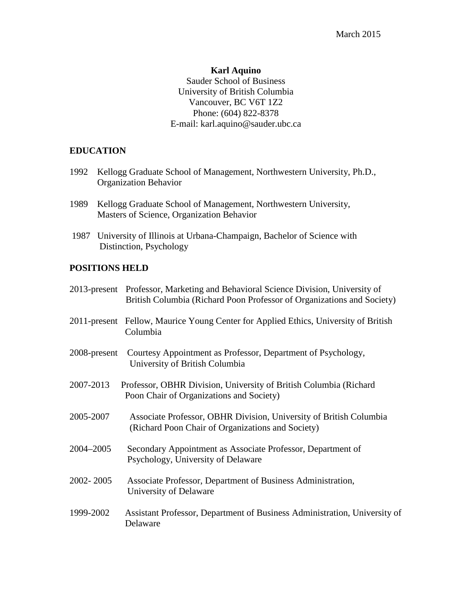## **Karl Aquino**

# Sauder School of Business University of British Columbia Vancouver, BC V6T 1Z2 Phone: (604) 822-8378 [E-mail: karl.aquino@sauder.ubc.ca](mailto:karl.aquino@sauder.ubc.ca)

## **EDUCATION**

- 1992 Kellogg Graduate School of Management, Northwestern University, Ph.D., Organization Behavior
- 1989 Kellogg Graduate School of Management, Northwestern University, Masters of Science, Organization Behavior
- 1987 University of Illinois at Urbana-Champaign, Bachelor of Science with Distinction, Psychology

# **POSITIONS HELD**

|              | 2013-present Professor, Marketing and Behavioral Science Division, University of<br>British Columbia (Richard Poon Professor of Organizations and Society) |  |
|--------------|------------------------------------------------------------------------------------------------------------------------------------------------------------|--|
|              | 2011-present Fellow, Maurice Young Center for Applied Ethics, University of British<br>Columbia                                                            |  |
| 2008-present | Courtesy Appointment as Professor, Department of Psychology,<br>University of British Columbia                                                             |  |
| 2007-2013    | Professor, OBHR Division, University of British Columbia (Richard<br>Poon Chair of Organizations and Society)                                              |  |
| 2005-2007    | Associate Professor, OBHR Division, University of British Columbia<br>(Richard Poon Chair of Organizations and Society)                                    |  |
| 2004-2005    | Secondary Appointment as Associate Professor, Department of<br>Psychology, University of Delaware                                                          |  |
| 2002-2005    | Associate Professor, Department of Business Administration,<br>University of Delaware                                                                      |  |
| 1999-2002    | Assistant Professor, Department of Business Administration, University of<br>Delaware                                                                      |  |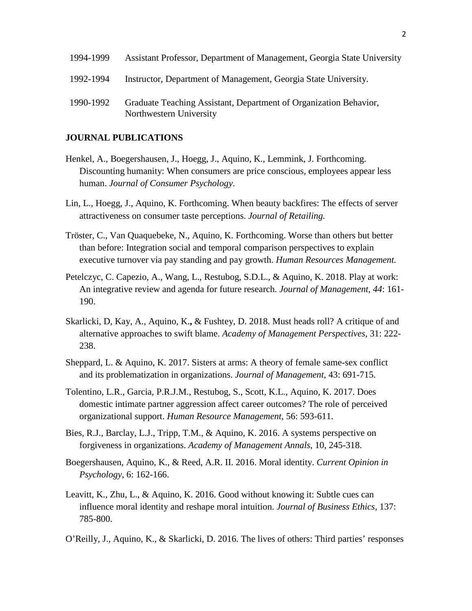| 1994-1999 | Assistant Professor, Department of Management, Georgia State University                      |
|-----------|----------------------------------------------------------------------------------------------|
| 1992-1994 | Instructor, Department of Management, Georgia State University.                              |
| 1990-1992 | Graduate Teaching Assistant, Department of Organization Behavior,<br>Northwestern University |

#### **JOURNAL PUBLICATIONS**

- Henkel, A., Boegershausen, J., Hoegg, J., Aquino, K., Lemmink, J. Forthcoming. Discounting humanity: When consumers are price conscious, employees appear less human. *Journal of Consumer Psychology*.
- Lin, L., Hoegg, J., Aquino, K. Forthcoming. When beauty backfires: The effects of server attractiveness on consumer taste perceptions. *Journal of Retailing.*
- Tröster, C., Van Quaquebeke, N., Aquino, K. Forthcoming. Worse than others but better than before: Integration social and temporal comparison perspectives to explain executive turnover via pay standing and pay growth. *Human Resources Management.*
- Petelczyc, C. Capezio, A., Wang, L., Restubog, S.D.L., & Aquino, K. 2018. Play at work: An integrative review and agenda for future research. *Journal of Management, 44*: 161- 190.
- Skarlicki, D, Kay, A., Aquino, K.**,** & Fushtey, D. 2018. Must heads roll? A critique of and alternative approaches to swift blame. *Academy of Management Perspectives,* 31: 222- 238.
- Sheppard, L. & Aquino, K. 2017. Sisters at arms: A theory of female same-sex conflict and its problematization in organizations. *Journal of Management*, 43: 691-715.
- Tolentino, L.R., Garcia, P.R.J.M., Restubog, S., Scott, K.L., Aquino, K. 2017. Does domestic intimate partner aggression affect career outcomes? The role of perceived organizational support. *Human Resource Management*, 56: 593-611.
- Bies, R.J., Barclay, L.J., Tripp, T.M., & Aquino, K. 2016. A systems perspective on forgiveness in organizations. *Academy of Management Annals*, 10, 245-318.
- Boegershausen, Aquino, K., & Reed, A.R. II. 2016. Moral identity. *Current Opinion in Psychology*, 6: 162-166.
- Leavitt, K., Zhu, L., & Aquino, K. 2016. Good without knowing it: Subtle cues can influence moral identity and reshape moral intuition. *Journal of Business Ethics*, 137: 785-800.
- O'Reilly, J., Aquino, K., & Skarlicki, D. 2016. The lives of others: Third parties' responses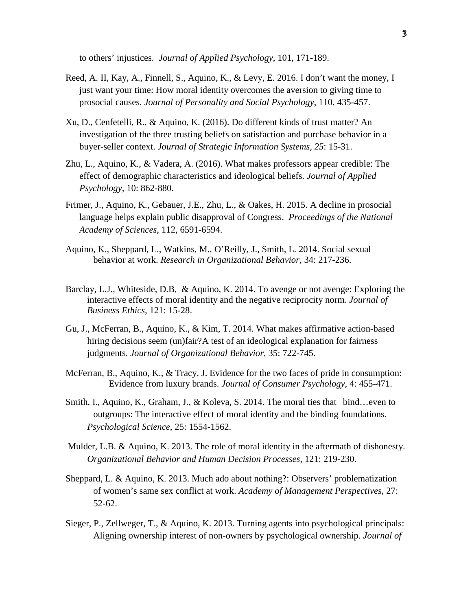to others' injustices. *Journal of Applied Psychology*, 101, 171-189.

- Reed, A. II, Kay, A., Finnell, S., Aquino, K., & Levy, E. 2016. I don't want the money, I just want your time: How moral identity overcomes the aversion to giving time to prosocial causes. *Journal of Personality and Social Psychology*, 110, 435-457.
- Xu, D., Cenfetelli, R., & Aquino, K. (2016). Do different kinds of trust matter? An investigation of the three trusting beliefs on satisfaction and purchase behavior in a buyer-seller context. *Journal of Strategic Information Systems, 25*: 15-31.
- Zhu, L., Aquino, K., & Vadera, A. (2016). What makes professors appear credible: The effect of demographic characteristics and ideological beliefs. *Journal of Applied Psychology*, 10: 862-880.
- Frimer, J., Aquino, K., Gebauer, J.E., Zhu, L., & Oakes, H. 2015. A decline in prosocial language helps explain public disapproval of Congress. *Proceedings of the National Academy of Sciences*, 112, 6591-6594.
- Aquino, K., Sheppard, L., Watkins, M., O'Reilly, J., Smith, L. 2014. Social sexual behavior at work. *Research in Organizational Behavior*, 34: 217-236.
- Barclay, L.J., Whiteside, D.B, & Aquino, K. 2014. To avenge or not avenge: Exploring the interactive effects of moral identity and the negative reciprocity norm. *Journal of Business Ethics,* 121: 15-28.
- Gu, J., McFerran, B., Aquino, K., & Kim, T. 2014. What makes affirmative action-based hiring decisions seem (un)fair?A test of an ideological explanation for fairness judgments. *Journal of Organizational Behavior*, 35: 722-745.
- McFerran, B., Aquino, K., & Tracy, J. Evidence for the two faces of pride in consumption: Evidence from luxury brands. *Journal of Consumer Psychology*, 4: 455-471.
- Smith, I., Aquino, K., Graham, J., & Koleva, S. 2014. The moral ties that bind...even to outgroups: The interactive effect of moral identity and the binding foundations. *Psychological Science*, 25: 1554-1562.
- Mulder, L.B. & Aquino, K. 2013. The role of moral identity in the aftermath of dishonesty. *Organizational Behavior and Human Decision Processes*, 121: 219-230.
- Sheppard, L. & Aquino, K. 2013. Much ado about nothing?: Observers' problematization of women's same sex conflict at work. *Academy of Management Perspectives*, 27: 52-62.
- Sieger, P., Zellweger, T., & Aquino, K. 2013. Turning agents into psychological principals: Aligning ownership interest of non-owners by psychological ownership. *Journal of*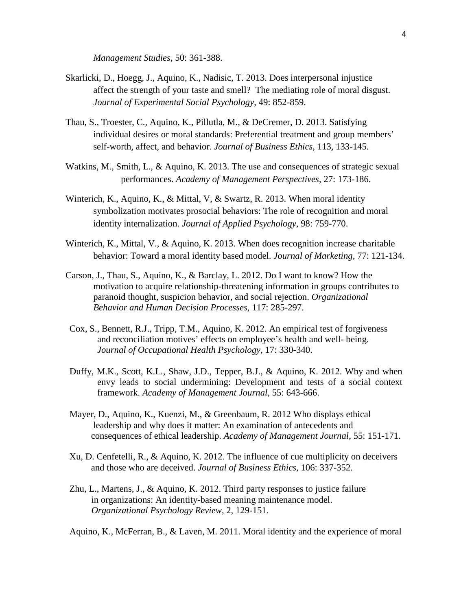*Management Studies*, 50: 361-388.

- Skarlicki, D., Hoegg, J., Aquino, K., Nadisic, T. 2013. Does interpersonal injustice affect the strength of your taste and smell? The mediating role of moral disgust. *Journal of Experimental Social Psychology*, 49: 852-859.
- Thau, S., Troester, C., Aquino, K., Pillutla, M., & DeCremer, D. 2013. Satisfying individual desires or moral standards: Preferential treatment and group members' self-worth, affect, and behavior. *Journal of Business Ethics*, 113, 133-145.
- Watkins, M., Smith, L., & Aquino, K. 2013. The use and consequences of strategic sexual performances. *Academy of Management Perspectives*, 27: 173-186.
- Winterich, K., Aquino, K., & Mittal, V, & Swartz, R. 2013. When moral identity symbolization motivates prosocial behaviors: The role of recognition and moral identity internalization. *Journal of Applied Psychology*, 98: 759-770.
- Winterich, K., Mittal, V., & Aquino, K. 2013. When does recognition increase charitable behavior: Toward a moral identity based model. *Journal of Marketing,* 77: 121-134.
- Carson, J., Thau, S., Aquino, K., & Barclay, L. 2012. Do I want to know? How the motivation to acquire relationship-threatening information in groups contributes to paranoid thought, suspicion behavior, and social rejection. *Organizational Behavior and Human Decision Processes*, 117: 285-297.
- Cox, S., Bennett, R.J., Tripp, T.M., Aquino, K. 2012. An empirical test of forgiveness and reconciliation motives' effects on employee's health and well- being. *Journal of Occupational Health Psychology*, 17: 330-340.
- Duffy, M.K., Scott, K.L., Shaw, J.D., Tepper, B.J., & Aquino, K. 2012. Why and when envy leads to social undermining: Development and tests of a social context framework. *Academy of Management Journal,* 55: 643-666.
- Mayer, D., Aquino, K., Kuenzi, M., & Greenbaum, R. 2012 Who displays ethical leadership and why does it matter: An examination of antecedents and consequences of ethical leadership. *Academy of Management Journal*, 55: 151-171.
- Xu, D. Cenfetelli, R., & Aquino, K. 2012. The influence of cue multiplicity on deceivers and those who are deceived. *Journal of Business Ethics,* 106: 337-352.
- Zhu, L., Martens, J., & Aquino, K. 2012. Third party responses to justice failure in organizations: An identity-based meaning maintenance model. *Organizational Psychology Review*, 2, 129-151.

Aquino, K., McFerran, B., & Laven, M. 2011. Moral identity and the experience of moral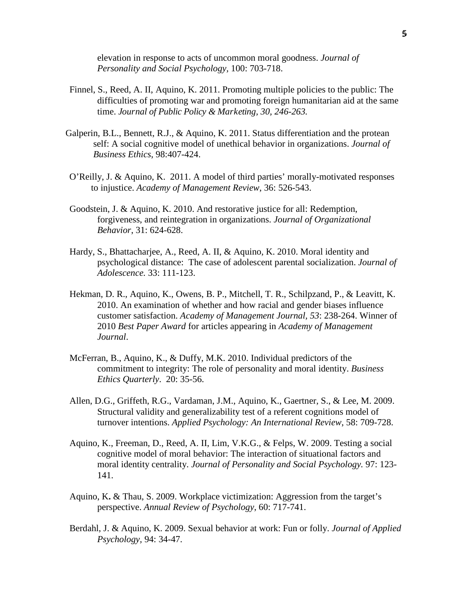elevation in response to acts of uncommon moral goodness. *Journal of Personality and Social Psychology,* 100: 703-718.

- Finnel, S., Reed, A. II, Aquino, K. 2011. Promoting multiple policies to the public: The difficulties of promoting war and promoting foreign humanitarian aid at the same time. *Journal of Public Policy & Marketing, 30, 246-263.*
- Galperin, B.L., Bennett, R.J., & Aquino, K. 2011. Status differentiation and the protean self: A social cognitive model of unethical behavior in organizations. *Journal of Business Ethics*, 98:407-424.
- O'Reilly, J. & Aquino, K. 2011. A model of third parties' morally-motivated responses to injustice. *Academy of Management Review*, 36: 526-543.
- Goodstein, J. & Aquino, K. 2010. And restorative justice for all: Redemption, forgiveness, and reintegration in organizations. *Journal of Organizational Behavior*, 31: 624-628.
- Hardy, S., Bhattacharjee, A., Reed, A. II, & Aquino, K. 2010. Moral identity and psychological distance: The case of adolescent parental socialization. *Journal of Adolescence.* 33: 111-123.
- Hekman, D. R., Aquino, K., Owens, B. P., Mitchell, T. R., Schilpzand, P., & Leavitt, K. 2010. An examination of whether and how racial and gender biases influence customer satisfaction. *Academy of Management Journal, 53*: 238-264. Winner of 2010 *Best Paper Award* for articles appearing in *Academy of Management Journal*.
- McFerran, B., Aquino, K., & Duffy, M.K. 2010. Individual predictors of the commitment to integrity: The role of personality and moral identity. *Business Ethics Quarterly*. 20: 35-56.
- Allen, D.G., Griffeth, R.G., Vardaman, J.M., Aquino, K., Gaertner, S., & Lee, M. 2009. Structural validity and generalizability test of a referent cognitions model of turnover intentions. *Applied Psychology: An International Review*, 58: 709-728.
- Aquino, K., Freeman, D., Reed, A. II, Lim, V.K.G., & Felps, W. 2009. Testing a social cognitive model of moral behavior: The interaction of situational factors and moral identity centrality. *Journal of Personality and Social Psychology.* 97: 123- 141.
- Aquino, K**.** & Thau, S. 2009. Workplace victimization: Aggression from the target's perspective. *Annual Review of Psychology*, 60: 717-741.
- Berdahl, J. & Aquino, K. 2009. Sexual behavior at work: Fun or folly. *Journal of Applied Psychology,* 94: 34-47.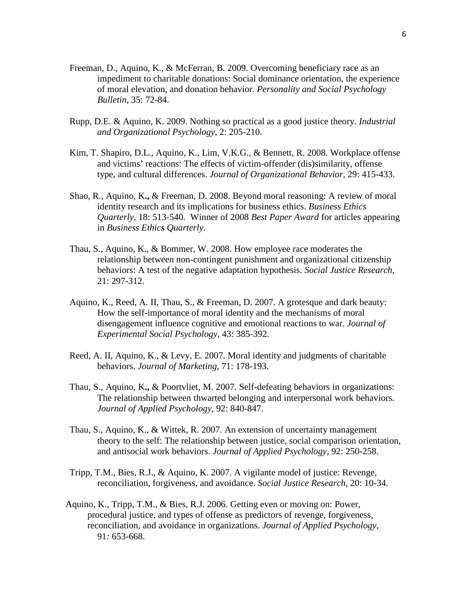- Freeman, D., Aquino, K., & McFerran, B. 2009. Overcoming beneficiary race as an impediment to charitable donations: Social dominance orientation, the experience of moral elevation, and donation behavior. *Personality and Social Psychology Bulletin*, 35: 72-84.
- Rupp, D.E. & Aquino, K. 2009. Nothing so practical as a good justice theory. *Industrial and Organizational Psychology*, 2: 205-210.
- Kim, T. Shapiro, D.L., Aquino, K., Lim, V.K.G., & Bennett, R. 2008. Workplace offense and victims' reactions: The effects of victim-offender (dis)similarity, offense type, and cultural differences. *Journal of Organizational Behavior*, 29: 415-433.
- Shao, R., Aquino, K**.,** & Freeman, D. 2008. Beyond moral reasoning: A review of moral identity research and its implications for business ethics. *Business Ethics Quarterly*, 18: 513-540. Winner of 2008 *Best Paper Award* for articles appearing in *Business Ethics Quarterly*.
- Thau, S., Aquino, K., & Bommer, W. 2008. How employee race moderates the relationship between non-contingent punishment and organizational citizenship behaviors: A test of the negative adaptation hypothesis. *Social Justice Research*, 21: 297-312.
- Aquino, K., Reed, A. II, Thau, S., & Freeman, D. 2007. A grotesque and dark beauty: How the self-importance of moral identity and the mechanisms of moral disengagement influence cognitive and emotional reactions to war. *Journal of Experimental Social Psychology,* 43: 385-392.
- Reed, A. II, Aquino, K., & Levy, E. 2007. Moral identity and judgments of charitable behaviors. *Journal of Marketing*, 71: 178-193.
- Thau, S., Aquino, K**.,** & Poortvliet, M. 2007. Self-defeating behaviors in organizations: The relationship between thwarted belonging and interpersonal work behaviors. *Journal of Applied Psychology*, 92: 840-847.
- Thau, S., Aquino, K., & Wittek, R. 2007. An extension of uncertainty management theory to the self: The relationship between justice, social comparison orientation, and antisocial work behaviors. *Journal of Applied Psychology*, 92: 250-258.
- Tripp, T.M., Bies, R.J., & Aquino, K. 2007. A vigilante model of justice: Revenge, reconciliation, forgiveness, and avoidance. *Social Justice Research*, 20: 10-34.
- Aquino, K., Tripp, T.M., & Bies, R.J. 2006. Getting even or moving on: Power, procedural justice, and types of offense as predictors of revenge, forgiveness, reconciliation, and avoidance in organizations. *Journal of Applied Psychology*, 91*:* 653-668.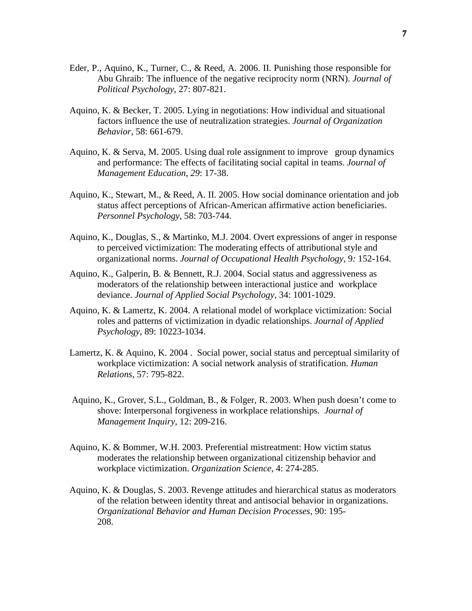- Eder, P., Aquino, K., Turner, C., & Reed, A. 2006. II. Punishing those responsible for Abu Ghraib: The influence of the negative reciprocity norm (NRN). *Journal of Political Psychology,* 27: 807-821.
- Aquino, K. & Becker, T. 2005. Lying in negotiations: How individual and situational factors influence the use of neutralization strategies. *Journal of Organization Behavior,* 58: 661-679.
- Aquino, K. & Serva, M. 2005. Using dual role assignment to improve group dynamics and performance: The effects of facilitating social capital in teams. *Journal of Management Education*, *29*: 17-38.
- Aquino, K., Stewart, M., & Reed, A. II. 2005. How social dominance orientation and job status affect perceptions of African-American affirmative action beneficiaries. *Personnel Psychology*, 58: 703-744.
- Aquino, K., Douglas, S., & Martinko, M.J. 2004. Overt expressions of anger in response to perceived victimization: The moderating effects of attributional style and organizational norms. *Journal of Occupational Health Psychology,* 9*:* 152-164.
- Aquino, K., Galperin, B. & Bennett, R.J. 2004. Social status and aggressiveness as moderators of the relationship between interactional justice and workplace deviance. *Journal of Applied Social Psychology*, 34: 1001-1029.
- Aquino, K. & Lamertz, K. 2004. A relational model of workplace victimization: Social roles and patterns of victimization in dyadic relationships. *Journal of Applied Psychology*, 89: 10223-1034.
- Lamertz, K. & Aquino, K. 2004 . Social power, social status and perceptual similarity of workplace victimization: A social network analysis of stratification. *Human Relations,* 57: 795-822.
- Aquino, K., Grover, S.L., Goldman, B., & Folger, R. 2003. When push doesn't come to shove: Interpersonal forgiveness in workplace relationships. *Journal of Management Inquiry*, 12: 209-216.
- Aquino, K. & Bommer, W.H. 2003. Preferential mistreatment: How victim status moderates the relationship between organizational citizenship behavior and workplace victimization. *Organization Science*, 4: 274-285.
- Aquino, K. & Douglas, S. 2003. Revenge attitudes and hierarchical status as moderators of the relation between identity threat and antisocial behavior in organizations. *Organizational Behavior and Human Decision Processes,* 90: 195- 208.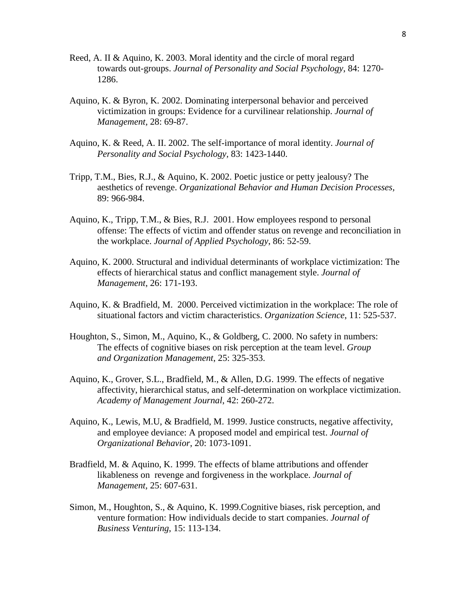- Reed, A. II & Aquino, K. 2003. Moral identity and the circle of moral regard towards out-groups. *Journal of Personality and Social Psychology*, 84: 1270- 1286.
- Aquino, K. & Byron, K. 2002. Dominating interpersonal behavior and perceived victimization in groups: Evidence for a curvilinear relationship. *Journal of Management,* 28: 69-87.
- Aquino, K. & Reed, A. II. 2002. The self-importance of moral identity. *Journal of Personality and Social Psychology,* 83: 1423-1440.
- Tripp, T.M., Bies, R.J., & Aquino, K. 2002. Poetic justice or petty jealousy? The aesthetics of revenge. *Organizational Behavior and Human Decision Processes,* 89: 966-984.
- Aquino, K., Tripp, T.M., & Bies, R.J. 2001. How employees respond to personal offense: The effects of victim and offender status on revenge and reconciliation in the workplace. *Journal of Applied Psychology*, 86: 52-59.
- Aquino, K. 2000. Structural and individual determinants of workplace victimization: The effects of hierarchical status and conflict management style. *Journal of Management*, 26: 171-193.
- Aquino, K. & Bradfield, M. 2000. Perceived victimization in the workplace: The role of situational factors and victim characteristics. *Organization Science*, 11: 525-537.
- Houghton, S., Simon, M., Aquino, K., & Goldberg, C. 2000. No safety in numbers: The effects of cognitive biases on risk perception at the team level. *Group and Organization Management*, 25: 325-353.
- Aquino, K., Grover, S.L., Bradfield, M., & Allen, D.G. 1999. The effects of negative affectivity, hierarchical status, and self-determination on workplace victimization. *Academy of Management Journal*, 42: 260-272.
- Aquino, K., Lewis, M.U, & Bradfield, M. 1999. Justice constructs, negative affectivity, and employee deviance: A proposed model and empirical test. *Journal of Organizational Behavior*, 20: 1073-1091.
- Bradfield, M. & Aquino, K. 1999. The effects of blame attributions and offender likableness on revenge and forgiveness in the workplace. *Journal of Management,* 25: 607-631.
- Simon, M., Houghton, S., & Aquino, K. 1999.Cognitive biases, risk perception, and venture formation: How individuals decide to start companies. *Journal of Business Venturing*, 15: 113-134.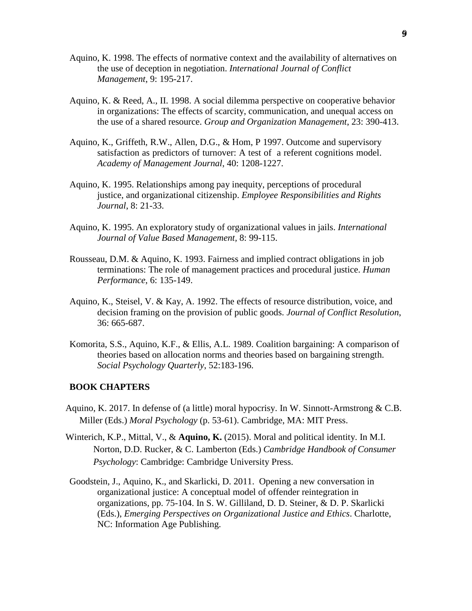- Aquino, K. 1998. The effects of normative context and the availability of alternatives on the use of deception in negotiation. *International Journal of Conflict Management*, 9: 195-217.
- Aquino, K. & Reed, A., II. 1998. A social dilemma perspective on cooperative behavior in organizations: The effects of scarcity, communication, and unequal access on the use of a shared resource. *Group and Organization Management*, 23: 390-413.
- Aquino, K., Griffeth, R.W., Allen, D.G., & Hom, P 1997. Outcome and supervisory satisfaction as predictors of turnover: A test of a referent cognitions model. *Academy of Management Journal*, 40: 1208-1227.
- Aquino, K. 1995. Relationships among pay inequity, perceptions of procedural justice, and organizational citizenship. *Employee Responsibilities and Rights Journal*, 8: 21-33.
- Aquino, K. 1995. An exploratory study of organizational values in jails. *International Journal of Value Based Management,* 8: 99-115.
- Rousseau, D.M. & Aquino, K. 1993. Fairness and implied contract obligations in job terminations: The role of management practices and procedural justice. *Human Performance*, 6: 135-149.
- Aquino, K., Steisel, V. & Kay, A. 1992. The effects of resource distribution, voice, and decision framing on the provision of public goods. *Journal of Conflict Resolution*, 36: 665-687.
- Komorita, S.S., Aquino, K.F., & Ellis, A.L. 1989. Coalition bargaining: A comparison of theories based on allocation norms and theories based on bargaining strength. *Social Psychology Quarterly*, 52:183-196.

## **BOOK CHAPTERS**

- Aquino, K. 2017. In defense of (a little) moral hypocrisy. In W. Sinnott-Armstrong & C.B. Miller (Eds.) *Moral Psychology* (p. 53-61). Cambridge, MA: MIT Press.
- Winterich, K.P., Mittal, V., & **Aquino, K.** (2015). Moral and political identity. In M.I. Norton, D.D. Rucker, & C. Lamberton (Eds.) *Cambridge Handbook of Consumer Psychology*: Cambridge: Cambridge University Press.
- Goodstein, J., Aquino, K., and Skarlicki, D. 2011. Opening a new conversation in organizational justice: A conceptual model of offender reintegration in organizations, pp. 75-104. In S. W. Gilliland, D. D. Steiner, & D. P. Skarlicki (Eds.), *Emerging Perspectives on Organizational Justice and Ethics*. Charlotte, NC: Information Age Publishing.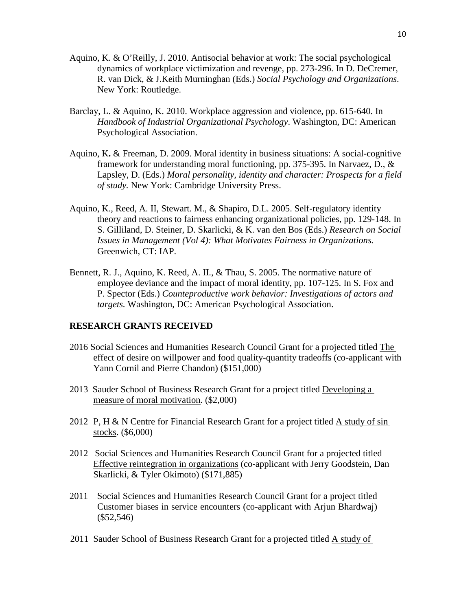- Aquino, K. & O'Reilly, J. 2010. Antisocial behavior at work: The social psychological dynamics of workplace victimization and revenge, pp. 273-296. In D. DeCremer, R. van Dick, & J.Keith Murninghan (Eds.) *Social Psychology and Organizations*. New York: Routledge.
- Barclay, L. & Aquino, K. 2010. Workplace aggression and violence, pp. 615-640. In *Handbook of Industrial Organizational Psychology*. Washington, DC: American Psychological Association.
- Aquino, K**.** & Freeman, D. 2009. Moral identity in business situations: A social-cognitive framework for understanding moral functioning, pp. 375-395. In Narvaez, D., & Lapsley, D. (Eds.) *Moral personality, identity and character: Prospects for a field of study.* New York: Cambridge University Press.
- Aquino, K., Reed, A. II, Stewart. M., & Shapiro, D.L. 2005. Self-regulatory identity theory and reactions to fairness enhancing organizational policies, pp. 129-148. In S. Gilliland, D. Steiner, D. Skarlicki, & K. van den Bos (Eds.) *Research on Social Issues in Management (Vol 4): What Motivates Fairness in Organizations.*  Greenwich, CT: IAP.
- Bennett, R. J., Aquino, K. Reed, A. II., & Thau, S. 2005. The normative nature of employee deviance and the impact of moral identity, pp. 107-125. In S. Fox and P. Spector (Eds.) *Counteproductive work behavior: Investigations of actors and targets.* Washington, DC: American Psychological Association.

#### **RESEARCH GRANTS RECEIVED**

- 2016 Social Sciences and Humanities Research Council Grant for a projected titled The effect of desire on willpower and food quality-quantity tradeoffs (co-applicant with Yann Cornil and Pierre Chandon) (\$151,000)
- 2013 Sauder School of Business Research Grant for a project titled Developing a measure of moral motivation. (\$2,000)
- 2012 P, H & N Centre for Financial Research Grant for a project titled A study of sin stocks. (\$6,000)
- 2012 Social Sciences and Humanities Research Council Grant for a projected titled Effective reintegration in organizations (co-applicant with Jerry Goodstein, Dan Skarlicki, & Tyler Okimoto) (\$171,885)
- 2011 Social Sciences and Humanities Research Council Grant for a project titled Customer biases in service encounters (co-applicant with Arjun Bhardwaj) (\$52,546)
- 2011 Sauder School of Business Research Grant for a projected titled A study of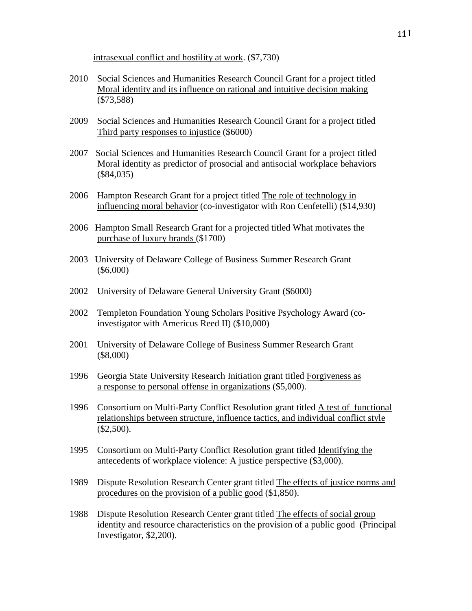intrasexual conflict and hostility at work. (\$7,730)

- 2010 Social Sciences and Humanities Research Council Grant for a project titled Moral identity and its influence on rational and intuitive decision making (\$73,588)
- 2009 Social Sciences and Humanities Research Council Grant for a project titled Third party responses to injustice (\$6000)
- 2007 Social Sciences and Humanities Research Council Grant for a project titled Moral identity as predictor of prosocial and antisocial workplace behaviors (\$84,035)
- 2006 Hampton Research Grant for a project titled The role of technology in influencing moral behavior (co-investigator with Ron Cenfetelli) (\$14,930)
- 2006 Hampton Small Research Grant for a projected titled What motivates the purchase of luxury brands (\$1700)
- 2003 University of Delaware College of Business Summer Research Grant (\$6,000)
- 2002 University of Delaware General University Grant (\$6000)
- 2002 Templeton Foundation Young Scholars Positive Psychology Award (coinvestigator with Americus Reed II) (\$10,000)
- 2001 University of Delaware College of Business Summer Research Grant (\$8,000)
- 1996 Georgia State University Research Initiation grant titled Forgiveness as a response to personal offense in organizations (\$5,000).
- 1996 Consortium on Multi-Party Conflict Resolution grant titled A test of functional relationships between structure, influence tactics, and individual conflict style (\$2,500).
- 1995 Consortium on Multi-Party Conflict Resolution grant titled Identifying the antecedents of workplace violence: A justice perspective (\$3,000).
- 1989 Dispute Resolution Research Center grant titled The effects of justice norms and procedures on the provision of a public good (\$1,850).
- 1988 Dispute Resolution Research Center grant titled The effects of social group identity and resource characteristics on the provision of a public good (Principal Investigator, \$2,200).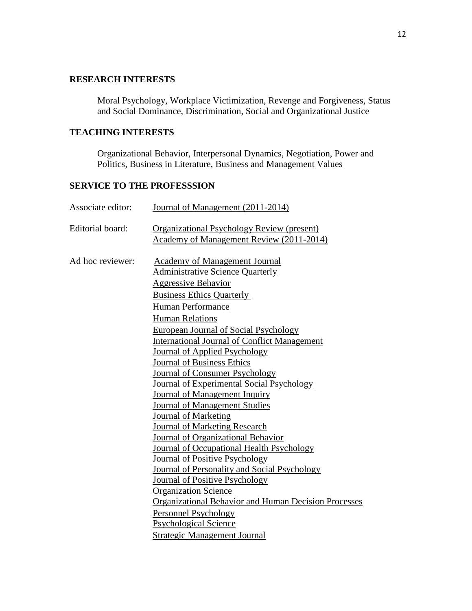## **RESEARCH INTERESTS**

Moral Psychology, Workplace Victimization, Revenge and Forgiveness, Status and Social Dominance, Discrimination, Social and Organizational Justice

# **TEACHING INTERESTS**

Organizational Behavior, Interpersonal Dynamics, Negotiation, Power and Politics, Business in Literature, Business and Management Values

### **SERVICE TO THE PROFESSSION**

| Associate editor: | Journal of Management (2011-2014)                                                                                                                                                                                                                                                                                                                                                                                                                                                                                                                                                                       |
|-------------------|---------------------------------------------------------------------------------------------------------------------------------------------------------------------------------------------------------------------------------------------------------------------------------------------------------------------------------------------------------------------------------------------------------------------------------------------------------------------------------------------------------------------------------------------------------------------------------------------------------|
| Editorial board:  | Organizational Psychology Review (present)<br>Academy of Management Review (2011-2014)                                                                                                                                                                                                                                                                                                                                                                                                                                                                                                                  |
| Ad hoc reviewer:  | <b>Academy of Management Journal</b><br><b>Administrative Science Quarterly</b><br><b>Aggressive Behavior</b><br><b>Business Ethics Quarterly</b><br><b>Human Performance</b>                                                                                                                                                                                                                                                                                                                                                                                                                           |
|                   | <b>Human Relations</b><br><b>European Journal of Social Psychology</b><br><b>International Journal of Conflict Management</b><br>Journal of Applied Psychology<br>Journal of Business Ethics<br><b>Journal of Consumer Psychology</b><br>Journal of Experimental Social Psychology<br>Journal of Management Inquiry<br><b>Journal of Management Studies</b><br><b>Journal of Marketing</b><br>Journal of Marketing Research<br>Journal of Organizational Behavior<br>Journal of Occupational Health Psychology<br><b>Journal of Positive Psychology</b><br>Journal of Personality and Social Psychology |
|                   | <b>Journal of Positive Psychology</b><br><b>Organization Science</b><br>Organizational Behavior and Human Decision Processes<br>Personnel Psychology<br><b>Psychological Science</b><br><b>Strategic Management Journal</b>                                                                                                                                                                                                                                                                                                                                                                             |